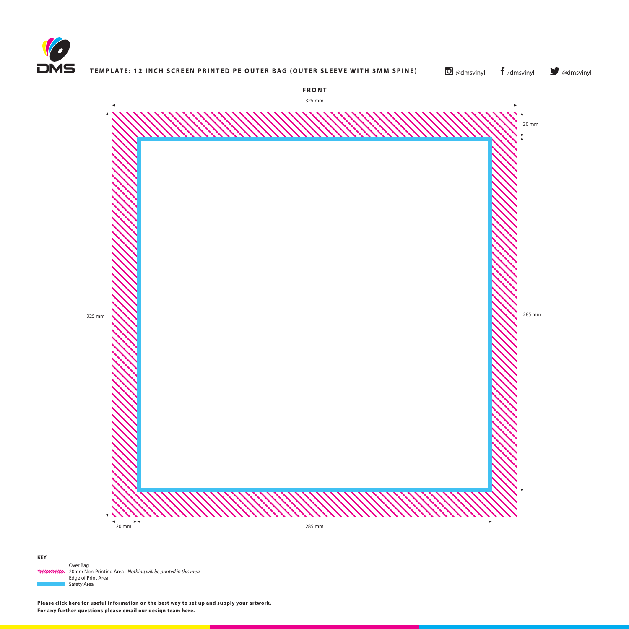



**O** [@dmsvinyl](http://www.twitter.com/dmsvinyl) **f** [/dmsvinyl](http://www.facebook.com/dmsvinyl) **y** @dmsvinyl



 Over Bag 20mm Non-Printing Area - *Nothing will be printed in this area* ------------ Edge of Print Area **Safety Area** 

**Please click [here](http://www.discmanufacturingservices.com/vinyl/templates#artwork-specifications) for useful information on the best way to set up and supply your artwork. For any further questions please email our design team [here](mailto:graphics%40discmanufacturingservices.com?subject=Template%20Enquiry).**

|--|